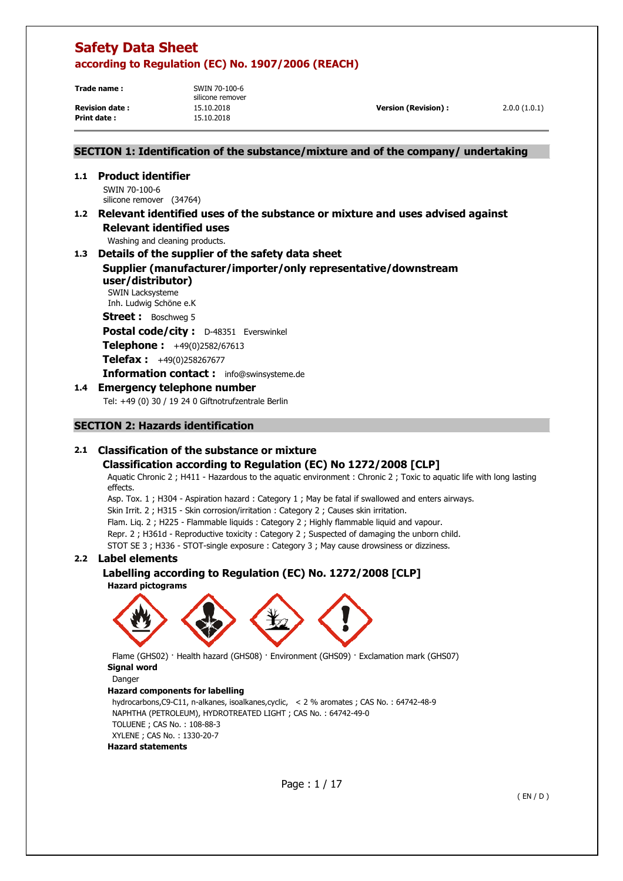**Trade name :** SWIN 70-100-6

silicone remover **Print date :** 15.10.2018

**Revision date :** 15.10.2018 **Version (Revision) :** 2.0.0 (1.0.1)

# **SECTION 1: Identification of the substance/mixture and of the company/ undertaking**

# **1.1 Product identifier**

SWIN 70-100-6 silicone remover (34764)

## **1.2 Relevant identified uses of the substance or mixture and uses advised against Relevant identified uses**

Washing and cleaning products.

## **1.3 Details of the supplier of the safety data sheet**

**Supplier (manufacturer/importer/only representative/downstream user/distributor)** 

SWIN Lacksysteme Inh. Ludwig Schöne e.K

**Street :** Boschweg 5

**Postal code/city :** D-48351 Everswinkel

**Telephone :** +49(0)2582/67613

**Telefax :** +49(0)258267677

**Information contact :** info@swinsysteme.de

# **1.4 Emergency telephone number**

Tel: +49 (0) 30 / 19 24 0 Giftnotrufzentrale Berlin

# **SECTION 2: Hazards identification**

# **2.1 Classification of the substance or mixture**

# **Classification according to Regulation (EC) No 1272/2008 [CLP]**

Aquatic Chronic 2 ; H411 - Hazardous to the aquatic environment : Chronic 2 ; Toxic to aquatic life with long lasting effects.

Asp. Tox. 1 ; H304 - Aspiration hazard : Category 1 ; May be fatal if swallowed and enters airways.

Skin Irrit. 2 ; H315 - Skin corrosion/irritation : Category 2 ; Causes skin irritation.

Flam. Liq. 2 ; H225 - Flammable liquids : Category 2 ; Highly flammable liquid and vapour.

Repr. 2 ; H361d - Reproductive toxicity : Category 2 ; Suspected of damaging the unborn child.

STOT SE 3 ; H336 - STOT-single exposure : Category 3 ; May cause drowsiness or dizziness.

# **2.2 Label elements**

# **Labelling according to Regulation (EC) No. 1272/2008 [CLP]**

**Hazard pictograms** 



 Flame (GHS02) · Health hazard (GHS08) · Environment (GHS09) · Exclamation mark (GHS07) **Signal word** 

Danger

## **Hazard components for labelling**

```
hydrocarbons,C9-C11, n-alkanes, isoalkanes,cyclic, < 2 % aromates ; CAS No. : 64742-48-9 
 NAPHTHA (PETROLEUM), HYDROTREATED LIGHT ; CAS No. : 64742-49-0 
 TOLUENE ; CAS No. : 108-88-3 
XYLENE ; CAS No. : 1330-20-7 
 Hazard statements
```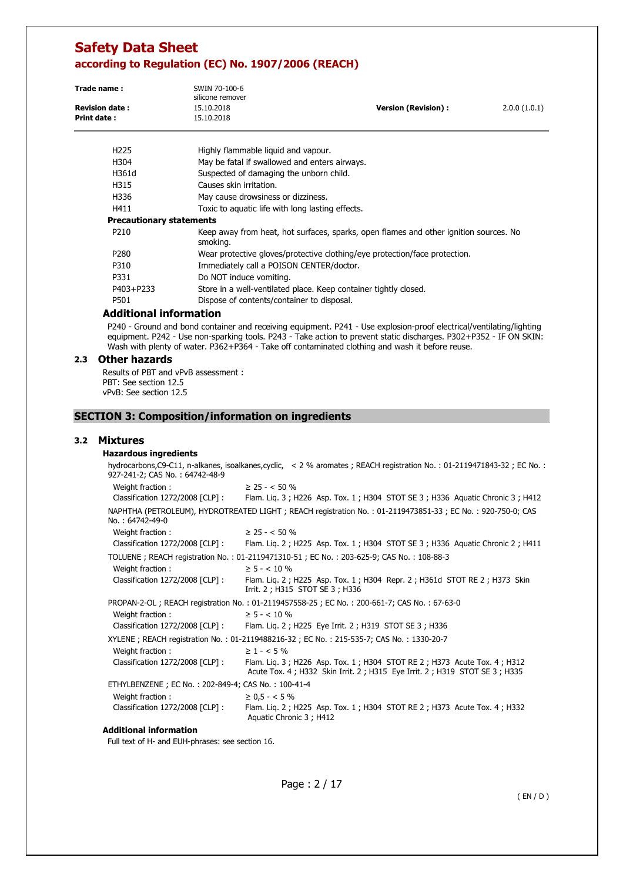| Trade name:<br><b>Revision date:</b><br><b>Print date:</b> | SWIN 70-100-6<br>silicone remover<br>15.10.2018<br>15.10.2018              | <b>Version (Revision):</b>                                                            | 2.0.0(1.0.1) |
|------------------------------------------------------------|----------------------------------------------------------------------------|---------------------------------------------------------------------------------------|--------------|
| H <sub>225</sub>                                           | Highly flammable liguid and vapour.                                        |                                                                                       |              |
| H304                                                       | May be fatal if swallowed and enters airways.                              |                                                                                       |              |
| H361d                                                      | Suspected of damaging the unborn child.                                    |                                                                                       |              |
| H315                                                       | Causes skin irritation.                                                    |                                                                                       |              |
| H336                                                       | May cause drowsiness or dizziness.                                         |                                                                                       |              |
| H411                                                       | Toxic to aquatic life with long lasting effects.                           |                                                                                       |              |
| <b>Precautionary statements</b>                            |                                                                            |                                                                                       |              |
| P <sub>210</sub>                                           | smoking.                                                                   | Keep away from heat, hot surfaces, sparks, open flames and other ignition sources. No |              |
| P <sub>280</sub>                                           | Wear protective gloves/protective clothing/eye protection/face protection. |                                                                                       |              |
| P310                                                       | Immediately call a POISON CENTER/doctor.                                   |                                                                                       |              |
| P331                                                       | Do NOT induce vomiting.                                                    |                                                                                       |              |
| P403+P233                                                  | Store in a well-ventilated place. Keep container tightly closed.           |                                                                                       |              |
| P501                                                       | Dispose of contents/container to disposal.                                 |                                                                                       |              |

### **Additional information**

P240 - Ground and bond container and receiving equipment. P241 - Use explosion-proof electrical/ventilating/lighting equipment. P242 - Use non-sparking tools. P243 - Take action to prevent static discharges. P302+P352 - IF ON SKIN: Wash with plenty of water. P362+P364 - Take off contaminated clothing and wash it before reuse.

#### **2.3 Other hazards**

Results of PBT and vPvB assessment : PBT: See section 12.5 vPvB: See section 12.5

### **SECTION 3: Composition/information on ingredients**

#### **3.2 Mixtures**

### **Hazardous ingredients**

hydrocarbons,C9-C11, n-alkanes, isoalkanes,cyclic, < 2 % aromates ; REACH registration No. : 01-2119471843-32 ; EC No. : 927-241-2; CAS No. : 64742-48-9 Weight fraction :  $\geq 25 - <50\%$ Classification 1272/2008 [CLP] : Flam. Liq. 3 ; H226 Asp. Tox. 1 ; H304 STOT SE 3 ; H336 Aquatic Chronic 3 ; H412 NAPHTHA (PETROLEUM), HYDROTREATED LIGHT ; REACH registration No. : 01-2119473851-33 ; EC No. : 920-750-0; CAS No. : 64742-49-0 Weight fraction :  $\geq 25 - 50\%$ Classification 1272/2008 [CLP] : Flam. Liq. 2 ; H225 Asp. Tox. 1 ; H304 STOT SE 3 ; H336 Aquatic Chronic 2 ; H411 TOLUENE ; REACH registration No. : 01-2119471310-51 ; EC No. : 203-625-9; CAS No. : 108-88-3 Weight fraction :  $\geq 5 - < 10 \%$ Classification 1272/2008 [CLP] : Flam. Liq. 2 ; H225 Asp. Tox. 1 ; H304 Repr. 2 ; H361d STOT RE 2 ; H373 Skin Irrit. 2 ; H315 STOT SE 3 ; H336 PROPAN-2-OL ; REACH registration No. : 01-2119457558-25 ; EC No. : 200-661-7; CAS No. : 67-63-0 Weight fraction :  $> 5 - < 10\%$ Classification 1272/2008 [CLP] : Flam. Liq. 2 ; H225 Eye Irrit. 2 ; H319 STOT SE 3 ; H336 XYLENE ; REACH registration No. : 01-2119488216-32 ; EC No. : 215-535-7; CAS No. : 1330-20-7 Weight fraction :  $\geq 1 - 5\%$ Classification 1272/2008 [CLP] : Flam. Liq. 3 ; H226 Asp. Tox. 1 ; H304 STOT RE 2 ; H373 Acute Tox. 4 ; H312 Acute Tox. 4 ; H332 Skin Irrit. 2 ; H315 Eye Irrit. 2 ; H319 STOT SE 3 ; H335 ETHYLBENZENE ; EC No. : 202-849-4; CAS No. : 100-41-4 Weight fraction :  $\geq 0.5 - 5\%$ Classification 1272/2008 [CLP] : Flam. Liq. 2 ; H225 Asp. Tox. 1 ; H304 STOT RE 2 ; H373 Acute Tox. 4 ; H332 Aquatic Chronic 3 ; H412

#### **Additional information**

Full text of H- and EUH-phrases: see section 16.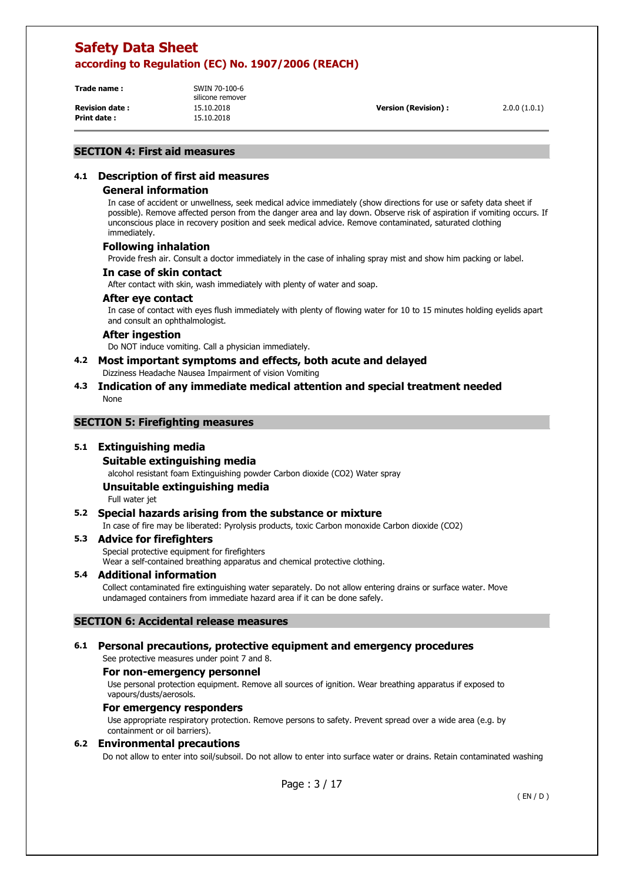**Trade name :** SWIN 70-100-6

**Print date :** 15.10.2018

silicone remover

**Revision date :** 15.10.2018 **Version (Revision) :** 2.0.0 (1.0.1)

## **SECTION 4: First aid measures**

# **4.1 Description of first aid measures**

### **General information**

In case of accident or unwellness, seek medical advice immediately (show directions for use or safety data sheet if possible). Remove affected person from the danger area and lay down. Observe risk of aspiration if vomiting occurs. If unconscious place in recovery position and seek medical advice. Remove contaminated, saturated clothing immediately.

### **Following inhalation**

Provide fresh air. Consult a doctor immediately in the case of inhaling spray mist and show him packing or label.

#### **In case of skin contact**

After contact with skin, wash immediately with plenty of water and soap.

### **After eye contact**

In case of contact with eyes flush immediately with plenty of flowing water for 10 to 15 minutes holding eyelids apart and consult an ophthalmologist.

#### **After ingestion**

Do NOT induce vomiting. Call a physician immediately.

## **4.2 Most important symptoms and effects, both acute and delayed**

Dizziness Headache Nausea Impairment of vision Vomiting

## **4.3 Indication of any immediate medical attention and special treatment needed**  None

### **SECTION 5: Firefighting measures**

## **5.1 Extinguishing media**

**Suitable extinguishing media** 

alcohol resistant foam Extinguishing powder Carbon dioxide (CO2) Water spray

## **Unsuitable extinguishing media**

Full water jet

## **5.2 Special hazards arising from the substance or mixture**

In case of fire may be liberated: Pyrolysis products, toxic Carbon monoxide Carbon dioxide (CO2)

#### **5.3 Advice for firefighters**

Special protective equipment for firefighters Wear a self-contained breathing apparatus and chemical protective clothing.

#### **5.4 Additional information**

Collect contaminated fire extinguishing water separately. Do not allow entering drains or surface water. Move undamaged containers from immediate hazard area if it can be done safely.

#### **SECTION 6: Accidental release measures**

# **6.1 Personal precautions, protective equipment and emergency procedures**

# See protective measures under point 7 and 8.

**For non-emergency personnel** 

Use personal protection equipment. Remove all sources of ignition. Wear breathing apparatus if exposed to vapours/dusts/aerosols.

#### **For emergency responders**

Use appropriate respiratory protection. Remove persons to safety. Prevent spread over a wide area (e.g. by containment or oil barriers).

## **6.2 Environmental precautions**

Do not allow to enter into soil/subsoil. Do not allow to enter into surface water or drains. Retain contaminated washing

Page : 3 / 17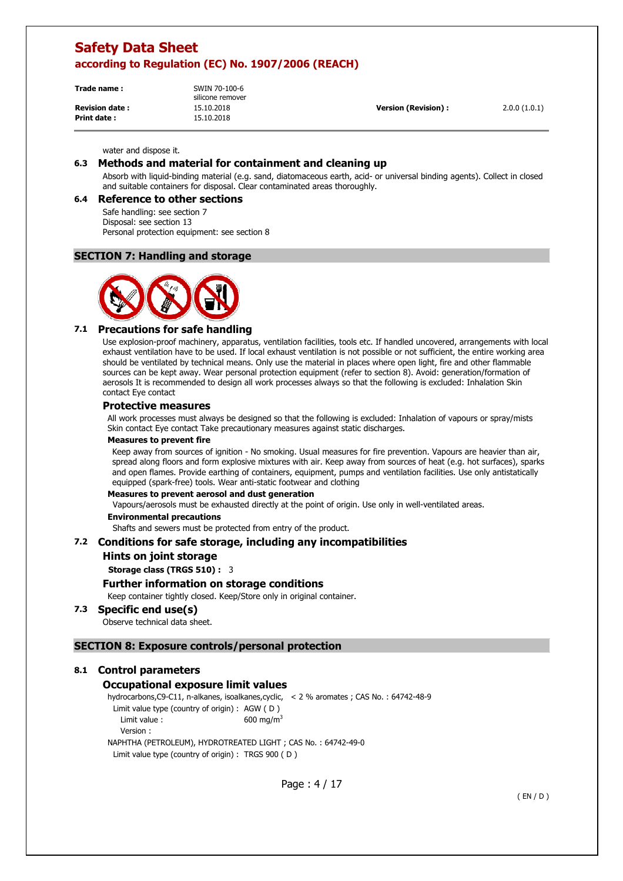| Trade name:           | SWIN 70-100-6<br>silicone remover |                      |              |
|-----------------------|-----------------------------------|----------------------|--------------|
| <b>Revision date:</b> | 15.10.2018                        | Version (Revision) : | 2.0.0(1.0.1) |
| <b>Print date:</b>    | 15.10.2018                        |                      |              |

#### water and dispose it.

# **6.3 Methods and material for containment and cleaning up**

Absorb with liquid-binding material (e.g. sand, diatomaceous earth, acid- or universal binding agents). Collect in closed and suitable containers for disposal. Clear contaminated areas thoroughly.

#### **6.4 Reference to other sections**

Safe handling: see section 7 Disposal: see section 13 Personal protection equipment: see section 8

## **SECTION 7: Handling and storage**



# **7.1 Precautions for safe handling**

Use explosion-proof machinery, apparatus, ventilation facilities, tools etc. If handled uncovered, arrangements with local exhaust ventilation have to be used. If local exhaust ventilation is not possible or not sufficient, the entire working area should be ventilated by technical means. Only use the material in places where open light, fire and other flammable sources can be kept away. Wear personal protection equipment (refer to section 8). Avoid: generation/formation of aerosols It is recommended to design all work processes always so that the following is excluded: Inhalation Skin contact Eye contact

### **Protective measures**

All work processes must always be designed so that the following is excluded: Inhalation of vapours or spray/mists Skin contact Eye contact Take precautionary measures against static discharges.

#### **Measures to prevent fire**

Keep away from sources of ignition - No smoking. Usual measures for fire prevention. Vapours are heavier than air, spread along floors and form explosive mixtures with air. Keep away from sources of heat (e.g. hot surfaces), sparks and open flames. Provide earthing of containers, equipment, pumps and ventilation facilities. Use only antistatically equipped (spark-free) tools. Wear anti-static footwear and clothing

#### **Measures to prevent aerosol and dust generation**

Vapours/aerosols must be exhausted directly at the point of origin. Use only in well-ventilated areas.

#### **Environmental precautions**

Shafts and sewers must be protected from entry of the product.

#### **7.2 Conditions for safe storage, including any incompatibilities**

#### **Hints on joint storage**

**Storage class (TRGS 510) :** 3

#### **Further information on storage conditions**

Keep container tightly closed. Keep/Store only in original container.

#### **7.3 Specific end use(s)**

Observe technical data sheet.

### **SECTION 8: Exposure controls/personal protection**

#### **8.1 Control parameters**

#### **Occupational exposure limit values**

hydrocarbons,C9-C11, n-alkanes, isoalkanes,cyclic, < 2 % aromates ; CAS No. : 64742-48-9 Limit value type (country of origin) : AGW ( D ) Limit value :  $600 \text{ mg/m}^3$ 

Version :

NAPHTHA (PETROLEUM), HYDROTREATED LIGHT ; CAS No. : 64742-49-0 Limit value type (country of origin) : TRGS 900 ( D )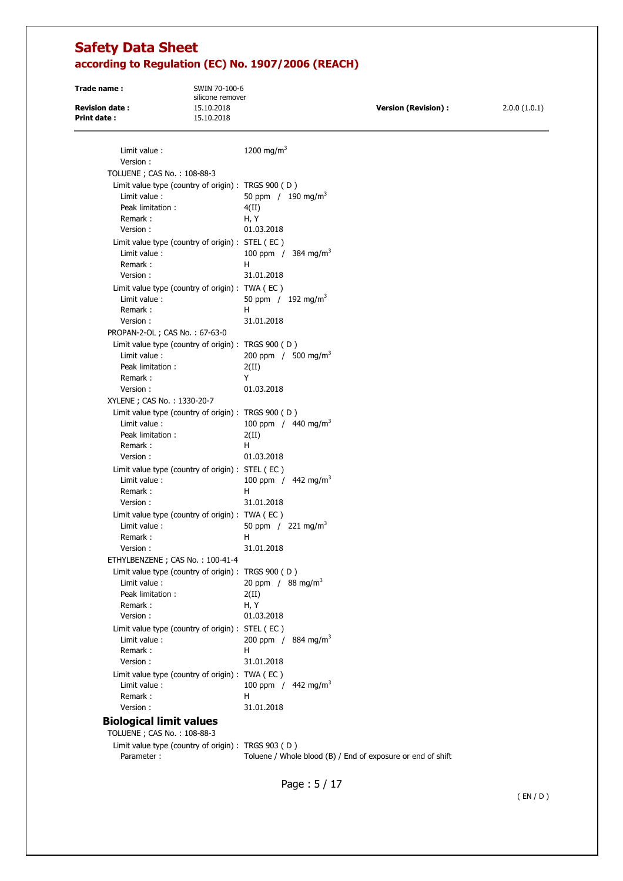**Trade name :** SWIN 70-100-6 silicone remover **Revision date :** 15.10.2018 **Version (Revision) :** 2.0.0 (1.0.1) **Print date :** 15.10.2018

| Limit value:<br>Version:                                       | 1200 mg/m <sup>3</sup>                                      |
|----------------------------------------------------------------|-------------------------------------------------------------|
| TOLUENE ; CAS No.: 108-88-3                                    |                                                             |
| Limit value type (country of origin) : TRGS 900 (D)            |                                                             |
| Limit value:                                                   | 50 ppm $/190 \text{ mg/m}^3$                                |
| Peak limitation:                                               | 4(II)                                                       |
| Remark:                                                        | H, Y                                                        |
| Version:                                                       | 01.03.2018                                                  |
| Limit value type (country of origin) : STEL (EC)               |                                                             |
| Limit value:                                                   | 100 ppm / 384 mg/m <sup>3</sup>                             |
| Remark:                                                        | н                                                           |
| Version:                                                       | 31.01.2018                                                  |
| Limit value type (country of origin) : TWA (EC)                |                                                             |
| Limit value:                                                   | 50 ppm $/192$ mg/m <sup>3</sup>                             |
| Remark:                                                        | н                                                           |
| Version:                                                       | 31.01.2018                                                  |
| PROPAN-2-OL; CAS No.: 67-63-0                                  |                                                             |
| Limit value type (country of origin) : TRGS 900 (D)            |                                                             |
| Limit value:                                                   | 200 ppm / 500 mg/m <sup>3</sup>                             |
| Peak limitation:                                               | 2(II)                                                       |
| Remark:                                                        | Y                                                           |
| Version:                                                       | 01.03.2018                                                  |
| XYLENE ; CAS No.: 1330-20-7                                    |                                                             |
| Limit value type (country of origin) : TRGS 900 (D)            |                                                             |
| Limit value:                                                   | 100 ppm / $440 \text{ mg/m}^3$                              |
| Peak limitation:                                               | 2(II)                                                       |
| Remark:                                                        | H                                                           |
| Version:                                                       | 01.03.2018                                                  |
| Limit value type (country of origin) : STEL (EC)               |                                                             |
| Limit value:                                                   | 100 ppm / $442$ mg/m <sup>3</sup>                           |
| Remark:                                                        | H                                                           |
| Version:                                                       | 31.01.2018                                                  |
| Limit value type (country of origin) : TWA (EC)                |                                                             |
| Limit value:                                                   | 50 ppm $/221 \text{ mg/m}^3$                                |
| Remark:                                                        | н                                                           |
| Version:                                                       | 31.01.2018                                                  |
| ETHYLBENZENE; CAS No.: 100-41-4                                |                                                             |
| Limit value type (country of origin) : TRGS 900 (D)            |                                                             |
| Limit value:                                                   | 20 ppm / 88 mg/m <sup>3</sup>                               |
| Peak limitation:                                               | 2(II)                                                       |
| Remark:                                                        | H, Y                                                        |
| Version:                                                       | 01.03.2018                                                  |
| Limit value type (country of origin) : STEL (EC)               |                                                             |
| Limit value:                                                   | 200 ppm / 884 mg/m <sup>3</sup>                             |
| Remark:                                                        | н                                                           |
| Version:                                                       | 31.01.2018                                                  |
| Limit value type (country of origin) : TWA (EC)                |                                                             |
| Limit value:                                                   | 100 ppm / $442$ mg/m <sup>3</sup>                           |
| Remark:                                                        | н                                                           |
| Version:                                                       | 31.01.2018                                                  |
| <b>Biological limit values</b><br>TOLUENE ; CAS No. : 108-88-3 |                                                             |
| Limit value type (country of origin) : TRGS 903 (D)            |                                                             |
| Parameter:                                                     | Toluene / Whole blood (B) / End of exposure or end of shift |
|                                                                |                                                             |

Page : 5 / 17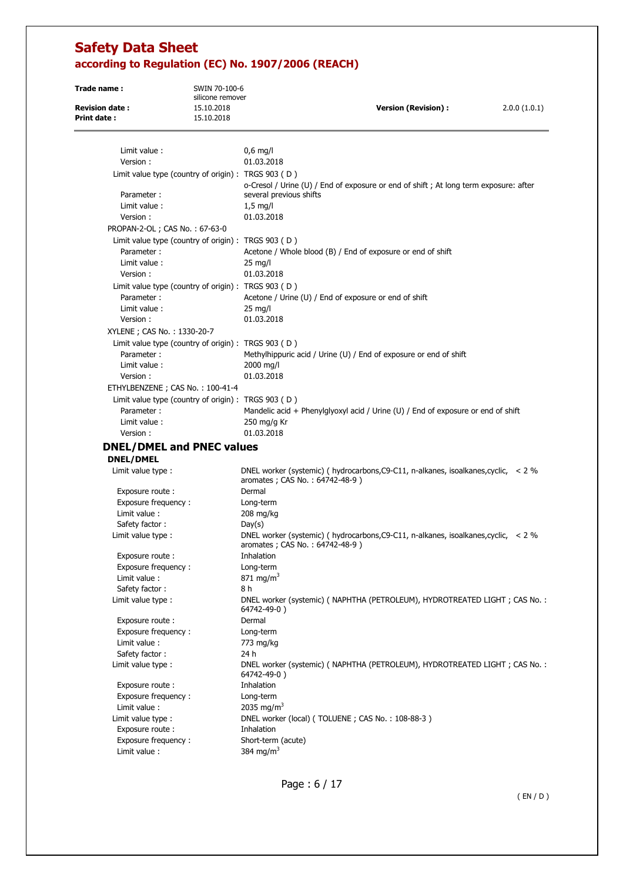| Trade name:                                 | SWIN 70-100-6<br>silicone remover                     |                                                                                                                            |              |
|---------------------------------------------|-------------------------------------------------------|----------------------------------------------------------------------------------------------------------------------------|--------------|
| <b>Revision date:</b><br><b>Print date:</b> | 15.10.2018<br>15.10.2018                              | <b>Version (Revision):</b>                                                                                                 | 2.0.0(1.0.1) |
| Limit value:<br>Version:                    |                                                       | $0.6$ mg/l<br>01.03.2018                                                                                                   |              |
|                                             |                                                       |                                                                                                                            |              |
| Parameter:                                  | Limit value type (country of origin) : TRGS $903$ (D) | o-Cresol / Urine (U) / End of exposure or end of shift; At long term exposure: after<br>several previous shifts            |              |
| Limit value :                               |                                                       | $1,5$ mg/l                                                                                                                 |              |
| Version:                                    |                                                       | 01.03.2018                                                                                                                 |              |
| PROPAN-2-OL; CAS No.: 67-63-0               |                                                       |                                                                                                                            |              |
|                                             | Limit value type (country of origin) : TRGS 903 (D)   |                                                                                                                            |              |
| Parameter:                                  |                                                       | Acetone / Whole blood (B) / End of exposure or end of shift                                                                |              |
| Limit value:                                |                                                       | $25 \text{ mg/l}$                                                                                                          |              |
| Version:                                    |                                                       | 01.03.2018                                                                                                                 |              |
|                                             | Limit value type (country of origin) : TRGS 903 (D)   |                                                                                                                            |              |
| Parameter:                                  |                                                       | Acetone / Urine (U) / End of exposure or end of shift                                                                      |              |
| Limit value:                                |                                                       | $25 \text{ mg/l}$                                                                                                          |              |
| Version:                                    |                                                       | 01.03.2018                                                                                                                 |              |
| XYLENE; CAS No.: 1330-20-7                  |                                                       |                                                                                                                            |              |
|                                             | Limit value type (country of origin) : TRGS 903 (D)   |                                                                                                                            |              |
| Parameter:                                  |                                                       | Methylhippuric acid / Urine (U) / End of exposure or end of shift                                                          |              |
| Limit value:                                |                                                       | 2000 mg/l                                                                                                                  |              |
| Version:                                    |                                                       | 01.03.2018                                                                                                                 |              |
|                                             | ETHYLBENZENE; CAS No.: 100-41-4                       |                                                                                                                            |              |
|                                             | Limit value type (country of origin) : TRGS 903 (D)   |                                                                                                                            |              |
| Parameter:                                  |                                                       | Mandelic acid + Phenylglyoxyl acid / Urine (U) / End of exposure or end of shift                                           |              |
| Limit value:                                |                                                       | 250 mg/g Kr                                                                                                                |              |
| Version:                                    |                                                       | 01.03.2018                                                                                                                 |              |
|                                             |                                                       |                                                                                                                            |              |
|                                             | <b>DNEL/DMEL and PNEC values</b>                      |                                                                                                                            |              |
| <b>DNEL/DMEL</b>                            |                                                       |                                                                                                                            |              |
| Limit value type :                          |                                                       | DNEL worker (systemic) ( hydrocarbons, C9-C11, n-alkanes, isoalkanes, cyclic, $\sim$ 2 %<br>aromates; CAS No.: 64742-48-9) |              |
| Exposure route:                             |                                                       | Dermal                                                                                                                     |              |
| Exposure frequency:                         |                                                       | Long-term                                                                                                                  |              |
| Limit value:                                |                                                       | 208 mg/kg                                                                                                                  |              |
| Safety factor:                              |                                                       | Day(s)                                                                                                                     |              |
| Limit value type :                          |                                                       | DNEL worker (systemic) ( hydrocarbons, C9-C11, n-alkanes, isoalkanes, cyclic, $\sim$ 2 %<br>aromates; CAS No.: 64742-48-9) |              |
| Exposure route :                            |                                                       | Inhalation                                                                                                                 |              |
| Exposure frequency:                         |                                                       | Long-term<br>871 ma/m <sup>3</sup>                                                                                         |              |
| Limit value :<br>Safety factor:             |                                                       | 8 h                                                                                                                        |              |
| Limit value type :                          |                                                       | DNEL worker (systemic) ( NAPHTHA (PETROLEUM), HYDROTREATED LIGHT; CAS No.:<br>64742-49-0)                                  |              |
| Exposure route :                            |                                                       | Dermal                                                                                                                     |              |
| Exposure frequency:                         |                                                       | Long-term                                                                                                                  |              |
| Limit value:                                |                                                       | 773 mg/kg                                                                                                                  |              |
| Safety factor:                              |                                                       | 24 h                                                                                                                       |              |
| Limit value type :                          |                                                       | DNEL worker (systemic) (NAPHTHA (PETROLEUM), HYDROTREATED LIGHT; CAS No.:<br>64742-49-0)                                   |              |
| Exposure route :                            |                                                       | Inhalation                                                                                                                 |              |
| Exposure frequency:                         |                                                       | Long-term                                                                                                                  |              |
| Limit value :                               |                                                       | 2035 mg/m <sup>3</sup>                                                                                                     |              |
| Limit value type :                          |                                                       | DNEL worker (local) (TOLUENE; CAS No.: 108-88-3)                                                                           |              |
| Exposure route :                            |                                                       | Inhalation                                                                                                                 |              |
| Exposure frequency:                         |                                                       | Short-term (acute)                                                                                                         |              |
| Limit value :                               |                                                       | 384 mg/m <sup>3</sup>                                                                                                      |              |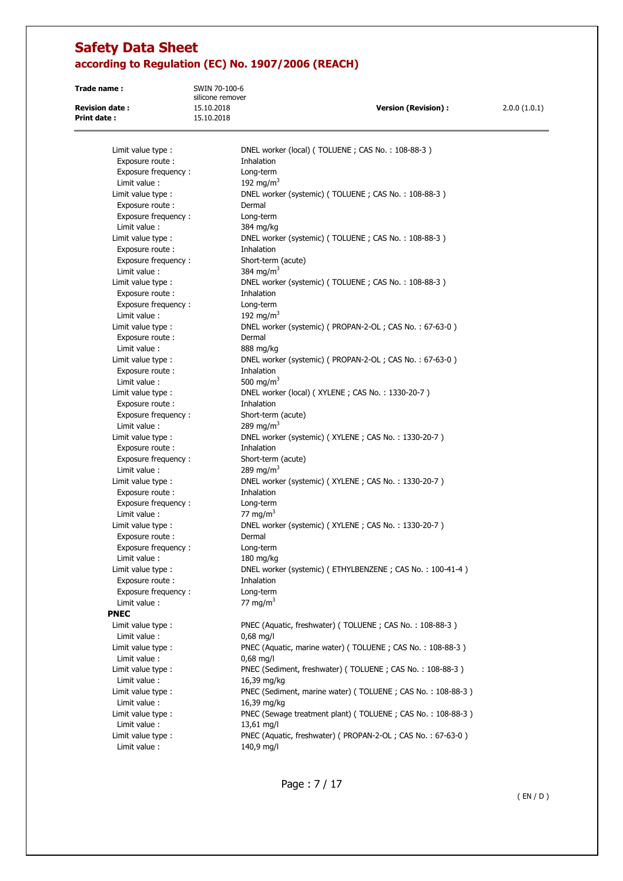**Trade name :** SWIN 70-100-6 silicone remover **Print date :** 15.10.2018

**Revision date :** 15.10.2018 **Version (Revision) :** 2.0.0 (1.0.1)

| Limit value type :                     | DNEL worker (local) (TOLUENE; CAS No.: 108-88-3)                        |
|----------------------------------------|-------------------------------------------------------------------------|
| Exposure route:                        | Inhalation                                                              |
| Exposure frequency:                    | Long-term                                                               |
| Limit value:                           | 192 mg/m <sup>3</sup>                                                   |
| Limit value type :                     | DNEL worker (systemic) (TOLUENE; CAS No.: 108-88-3)                     |
| Exposure route:                        | Dermal                                                                  |
| Exposure frequency:                    | Long-term                                                               |
| Limit value :                          | 384 mg/kg                                                               |
| Limit value type :                     | DNEL worker (systemic) (TOLUENE; CAS No.: 108-88-3)                     |
| Exposure route:                        | Inhalation                                                              |
| Exposure frequency:<br>Limit value:    | Short-term (acute)<br>384 mg/m <sup>3</sup>                             |
|                                        | DNEL worker (systemic) (TOLUENE; CAS No.: 108-88-3)                     |
| Limit value type :                     | Inhalation                                                              |
| Exposure route:<br>Exposure frequency: | Long-term                                                               |
| Limit value :                          | 192 mg/m <sup>3</sup>                                                   |
| Limit value type :                     | DNEL worker (systemic) ( PROPAN-2-OL; CAS No.: 67-63-0)                 |
| Exposure route:                        | Dermal                                                                  |
| Limit value:                           | 888 mg/kg                                                               |
| Limit value type :                     | DNEL worker (systemic) (PROPAN-2-OL; CAS No.: 67-63-0)                  |
| Exposure route:                        | Inhalation                                                              |
| Limit value:                           | 500 mg/m <sup>3</sup>                                                   |
| Limit value type :                     | DNEL worker (local) (XYLENE; CAS No.: 1330-20-7)                        |
| Exposure route :                       | Inhalation                                                              |
| Exposure frequency:                    | Short-term (acute)                                                      |
| Limit value:                           | 289 mg/m <sup>3</sup>                                                   |
| Limit value type :                     | DNEL worker (systemic) (XYLENE; CAS No.: 1330-20-7)                     |
| Exposure route:                        | Inhalation                                                              |
| Exposure frequency:                    | Short-term (acute)                                                      |
| Limit value:                           | 289 mg/m <sup>3</sup>                                                   |
| Limit value type :                     | DNEL worker (systemic) (XYLENE; CAS No.: 1330-20-7)                     |
| Exposure route :                       | Inhalation                                                              |
| Exposure frequency:                    | Long-term                                                               |
| Limit value :                          | 77 mg/m $3$                                                             |
| Limit value type :                     | DNEL worker (systemic) (XYLENE; CAS No.: 1330-20-7)                     |
| Exposure route:                        | Dermal                                                                  |
| Exposure frequency:                    | Long-term                                                               |
| Limit value:                           | $180$ mg/kg                                                             |
| Limit value type :                     | DNEL worker (systemic) (ETHYLBENZENE; CAS No.: 100-41-4)                |
| Exposure route:                        | Inhalation                                                              |
| Exposure frequency:                    | Long-term                                                               |
| Limit value :                          | 77 mg/m $3$                                                             |
| <b>PNEC</b>                            |                                                                         |
| Limit value type :                     | PNEC (Aquatic, freshwater) (TOLUENE; CAS No.: 108-88-3)                 |
| Limit value :                          | $0,68$ mg/l                                                             |
| Limit value type :<br>Limit value:     | PNEC (Aquatic, marine water) (TOLUENE; CAS No.: 108-88-3)               |
| Limit value type :                     | $0,68$ mg/l<br>PNEC (Sediment, freshwater) (TOLUENE; CAS No.: 108-88-3) |
| Limit value:                           | 16,39 mg/kg                                                             |
| Limit value type :                     | PNEC (Sediment, marine water) (TOLUENE; CAS No.: 108-88-3)              |
| Limit value:                           | 16,39 mg/kg                                                             |
| Limit value type :                     | PNEC (Sewage treatment plant) (TOLUENE; CAS No.: 108-88-3)              |
| Limit value :                          | 13,61 mg/l                                                              |
| Limit value type :                     | PNEC (Aquatic, freshwater) (PROPAN-2-OL; CAS No.: 67-63-0)              |
| Limit value :                          | 140,9 mg/l                                                              |
|                                        |                                                                         |

Page : 7 / 17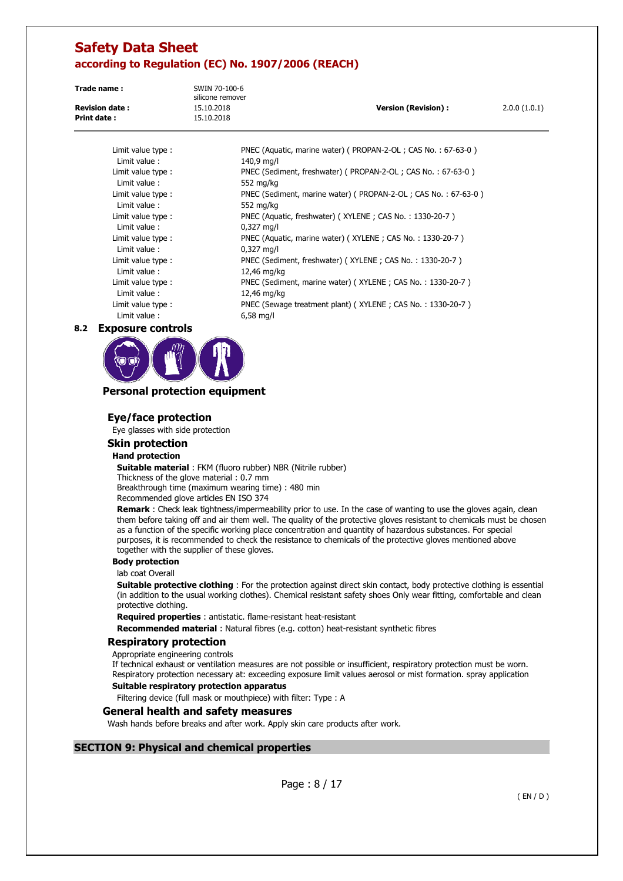**Trade name :** SWIN 70-100-6 silicone remover **Revision date :** 15.10.2018 **Version (Revision) :** 2.0.0 (1.0.1) **Print date :** 15.10.2018

Limit value : 140,9 mg/l Limit value : 552 mg/kg Limit value : 552 mg/kg Limit value : 0,327 mg/l Limit value : 0,327 mg/l Limit value : 12,46 mg/kg Limit value : 12,46 mg/kg

Limit value type : PNEC (Aquatic, marine water) ( PROPAN-2-OL ; CAS No. : 67-63-0 ) Limit value type : PNEC (Sediment, freshwater) ( PROPAN-2-OL ; CAS No. : 67-63-0 ) Limit value type : PNEC (Sediment, marine water) ( PROPAN-2-OL ; CAS No. : 67-63-0 ) Limit value type : PNEC (Aquatic, freshwater) (XYLENE ; CAS No. : 1330-20-7) Limit value type : PNEC (Aquatic, marine water) ( XYLENE ; CAS No. : 1330-20-7 ) Limit value type : PNEC (Sediment, freshwater) ( XYLENE ; CAS No. : 1330-20-7 ) Limit value type : PNEC (Sediment, marine water) (XYLENE ; CAS No. : 1330-20-7 ) Limit value type : PNEC (Sewage treatment plant) ( XYLENE ; CAS No. : 1330-20-7 ) Limit value : 6,58 mg/l

### **8.2 Exposure controls**



## **Personal protection equipment**

## **Eye/face protection**

Eye glasses with side protection

#### **Skin protection**

#### **Hand protection**

**Suitable material** : FKM (fluoro rubber) NBR (Nitrile rubber) Thickness of the glove material : 0.7 mm Breakthrough time (maximum wearing time) : 480 min

Recommended glove articles EN ISO 374

**Remark** : Check leak tightness/impermeability prior to use. In the case of wanting to use the gloves again, clean them before taking off and air them well. The quality of the protective gloves resistant to chemicals must be chosen as a function of the specific working place concentration and quantity of hazardous substances. For special purposes, it is recommended to check the resistance to chemicals of the protective gloves mentioned above together with the supplier of these gloves.

#### **Body protection**

lab coat Overall

**Suitable protective clothing** : For the protection against direct skin contact, body protective clothing is essential (in addition to the usual working clothes). Chemical resistant safety shoes Only wear fitting, comfortable and clean protective clothing.

**Required properties** : antistatic. flame-resistant heat-resistant

**Recommended material** : Natural fibres (e.g. cotton) heat-resistant synthetic fibres

#### **Respiratory protection**

Appropriate engineering controls

If technical exhaust or ventilation measures are not possible or insufficient, respiratory protection must be worn. Respiratory protection necessary at: exceeding exposure limit values aerosol or mist formation. spray application

#### **Suitable respiratory protection apparatus**

Filtering device (full mask or mouthpiece) with filter: Type : A

### **General health and safety measures**

Wash hands before breaks and after work. Apply skin care products after work.

## **SECTION 9: Physical and chemical properties**

Page : 8 / 17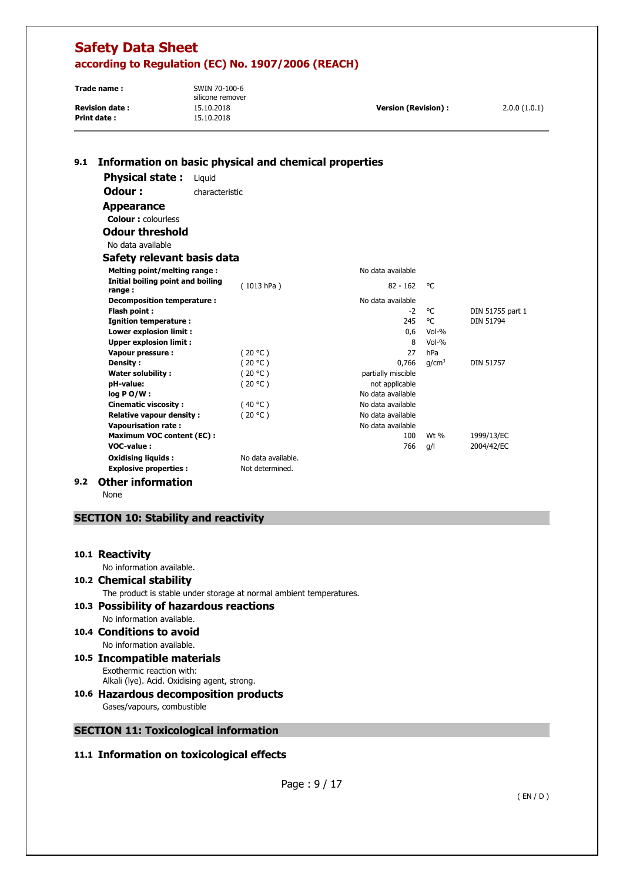| Trade name:            | SWIN 70-100-6<br>silicone remover |                      |              |
|------------------------|-----------------------------------|----------------------|--------------|
| <b>Revision date :</b> | 15.10.2018                        | Version (Revision) : | 2.0.0(1.0.1) |
| Print date :           | 15.10.2018                        |                      |              |

# **9.1 Information on basic physical and chemical properties**

**Physical state :** Liquid **Odour : characteristic** 

 **Appearance** 

**Colour :** colourless

 **Odour threshold** 

No data available

| Safety relevant basis data |  |  |  |
|----------------------------|--|--|--|
|----------------------------|--|--|--|

| Melting point/melting range:                |                    | No data available  |                   |                  |
|---------------------------------------------|--------------------|--------------------|-------------------|------------------|
| Initial boiling point and boiling<br>range: | (1013 hPa)         | $82 - 162$         | °C                |                  |
| Decomposition temperature :                 |                    | No data available  |                   |                  |
| Flash point:                                |                    | $-2$               | °C                | DIN 51755 part 1 |
| Ignition temperature :                      |                    | 245                | °C                | DIN 51794        |
| Lower explosion limit :                     |                    | 0,6                | Vol-%             |                  |
| <b>Upper explosion limit:</b>               |                    | 8                  | $Vol-%$           |                  |
| Vapour pressure :                           | (20 °C )           | 27                 | hPa               |                  |
| <b>Density:</b>                             | (20 °C)            | 0.766              | q/cm <sup>3</sup> | <b>DIN 51757</b> |
| <b>Water solubility:</b>                    | (20 °C )           | partially miscible |                   |                  |
| pH-value:                                   | (20 °C )           | not applicable     |                   |                  |
| $log PO/W$ :                                |                    | No data available  |                   |                  |
| <b>Cinematic viscosity:</b>                 | (40 °C)            | No data available  |                   |                  |
| <b>Relative vapour density:</b>             | (20 °C )           | No data available  |                   |                  |
| <b>Vapourisation rate:</b>                  |                    | No data available  |                   |                  |
| <b>Maximum VOC content (EC):</b>            |                    | 100                | Wt %              | 1999/13/EC       |
| VOC-value:                                  |                    | 766                | g/l               | 2004/42/EC       |
| <b>Oxidising liquids:</b>                   | No data available. |                    |                   |                  |
| <b>Explosive properties:</b>                | Not determined.    |                    |                   |                  |

## **9.2 Other information**

None

# **SECTION 10: Stability and reactivity**

## **10.1 Reactivity**

No information available.

## **10.2 Chemical stability**

The product is stable under storage at normal ambient temperatures.

### **10.3 Possibility of hazardous reactions**  No information available.

# **10.4 Conditions to avoid**

No information available.

- **10.5 Incompatible materials**  Exothermic reaction with: Alkali (lye). Acid. Oxidising agent, strong.
- **10.6 Hazardous decomposition products**  Gases/vapours, combustible
- **SECTION 11: Toxicological information**

# **11.1 Information on toxicological effects**

Page : 9 / 17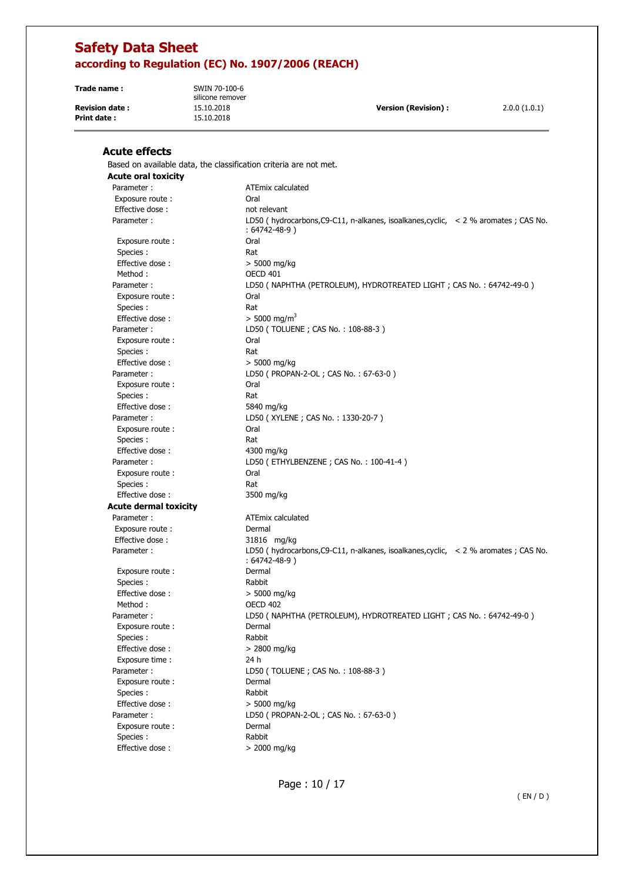**Trade name :** SWIN 70-100-6

**Print date :** 15.10.2018

silicone remover

**Revision date :** 15.10.2018 **Version (Revision) :** 2.0.0 (1.0.1)

# **Acute effects**

Based on available data, the classification criteria are not met.

| <b>Acute oral toxicity</b>   |                                                                                                            |
|------------------------------|------------------------------------------------------------------------------------------------------------|
| Parameter:                   | ATEmix calculated                                                                                          |
| Exposure route :             | Oral                                                                                                       |
| Effective dose:              | not relevant                                                                                               |
| Parameter:                   | LD50 (hydrocarbons, C9-C11, n-alkanes, isoalkanes, cyclic, < 2 % aromates ; CAS No.<br>: 64742-48-9 )      |
| Exposure route:              | Oral                                                                                                       |
| Species:                     | Rat                                                                                                        |
| Effective dose:              | > 5000 mg/kg                                                                                               |
| Method:                      | <b>OECD 401</b>                                                                                            |
| Parameter:                   | LD50 ( NAPHTHA (PETROLEUM), HYDROTREATED LIGHT ; CAS No. : 64742-49-0 )                                    |
| Exposure route:              | Oral                                                                                                       |
| Species :                    | Rat                                                                                                        |
| Effective dose:              | $> 5000$ mg/m <sup>3</sup>                                                                                 |
| Parameter:                   | LD50 (TOLUENE; CAS No.: 108-88-3)                                                                          |
| Exposure route:              | Oral                                                                                                       |
| Species :                    | Rat                                                                                                        |
| Effective dose:              | > 5000 mg/kg                                                                                               |
| Parameter:                   | LD50 ( PROPAN-2-OL ; CAS No.: 67-63-0 )                                                                    |
| Exposure route:              | Oral                                                                                                       |
| Species:                     | Rat                                                                                                        |
| Effective dose:              | 5840 mg/kg                                                                                                 |
| Parameter:                   | LD50 (XYLENE; CAS No.: 1330-20-7)                                                                          |
| Exposure route:              | Oral                                                                                                       |
| Species :                    | Rat                                                                                                        |
| Effective dose:              | 4300 mg/kg                                                                                                 |
| Parameter:                   | LD50 (ETHYLBENZENE; CAS No.: 100-41-4)                                                                     |
| Exposure route:              | Oral                                                                                                       |
| Species :                    | Rat                                                                                                        |
| Effective dose:              | 3500 mg/kg                                                                                                 |
| <b>Acute dermal toxicity</b> |                                                                                                            |
| Parameter:                   | ATEmix calculated                                                                                          |
| Exposure route:              | Dermal                                                                                                     |
| Effective dose:              | 31816 mg/kg                                                                                                |
| Parameter:                   | LD50 (hydrocarbons, C9-C11, n-alkanes, isoalkanes, cyclic, < 2 % aromates ; CAS No.<br>$: 64742 - 48 - 9)$ |
| Exposure route:              | Dermal                                                                                                     |
| Species :                    | Rabbit                                                                                                     |
| Effective dose:              | > 5000 mg/kg                                                                                               |
| Method:                      | <b>OECD 402</b>                                                                                            |
| Parameter:                   | LD50 ( NAPHTHA (PETROLEUM), HYDROTREATED LIGHT ; CAS No. : 64742-49-0 )                                    |
| Exposure route:              | Dermal                                                                                                     |
| Species:                     | Rabbit                                                                                                     |
| Effective dose:              | $> 2800$ mg/kg                                                                                             |
| Exposure time :              | 24 h                                                                                                       |
| Parameter:                   | LD50 (TOLUENE; CAS No.: 108-88-3)                                                                          |
| Exposure route :             | Dermal                                                                                                     |
| Species:                     | Rabbit                                                                                                     |
| Effective dose:              | > 5000 mg/kg                                                                                               |
| Parameter:                   | LD50 ( PROPAN-2-OL ; CAS No.: 67-63-0 )                                                                    |
| Exposure route:              | Dermal                                                                                                     |
| Species :                    | Rabbit                                                                                                     |
| Effective dose:              | > 2000 mg/kg                                                                                               |

Page : 10 / 17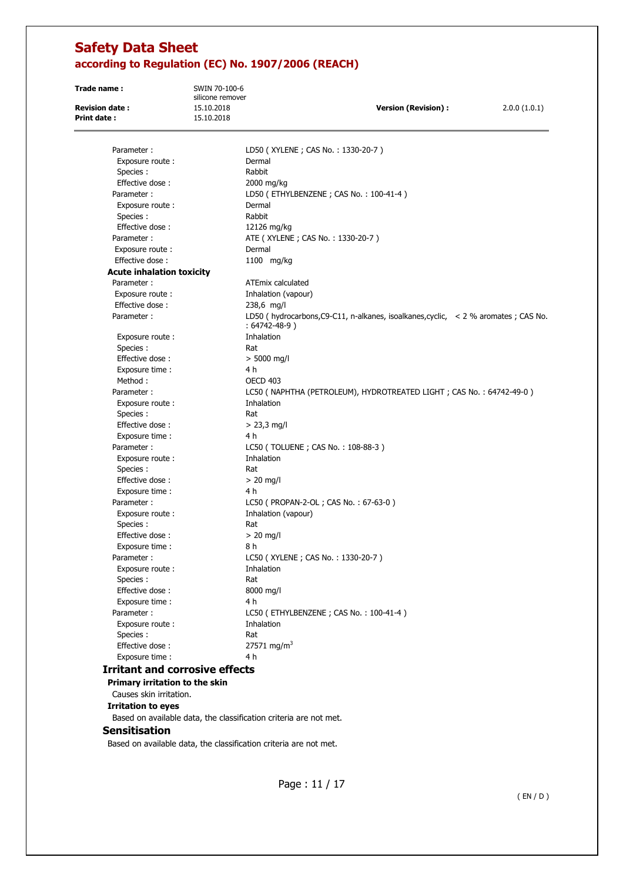| Trade name:                                 | SWIN 70-100-6<br>silicone remover |                                                                                                            |              |
|---------------------------------------------|-----------------------------------|------------------------------------------------------------------------------------------------------------|--------------|
| <b>Revision date:</b><br><b>Print date:</b> | 15.10.2018<br>15.10.2018          | <b>Version (Revision):</b>                                                                                 | 2.0.0(1.0.1) |
|                                             |                                   |                                                                                                            |              |
| Parameter:                                  |                                   | LD50 (XYLENE; CAS No.: 1330-20-7)                                                                          |              |
| Exposure route:                             |                                   | Dermal                                                                                                     |              |
| Species:                                    |                                   | Rabbit                                                                                                     |              |
| Effective dose:                             |                                   | 2000 mg/kg                                                                                                 |              |
| Parameter:                                  |                                   | LD50 (ETHYLBENZENE; CAS No.: 100-41-4)                                                                     |              |
| Exposure route:                             |                                   | Dermal                                                                                                     |              |
| Species :                                   |                                   | Rabbit                                                                                                     |              |
| Effective dose:                             |                                   | 12126 mg/kg                                                                                                |              |
| Parameter:                                  |                                   | ATE (XYLENE; CAS No.: 1330-20-7)                                                                           |              |
| Exposure route:                             |                                   | Dermal                                                                                                     |              |
| Effective dose:                             |                                   | 1100 mg/kg                                                                                                 |              |
| <b>Acute inhalation toxicity</b>            |                                   |                                                                                                            |              |
| Parameter:                                  |                                   | <b>ATEmix calculated</b>                                                                                   |              |
| Exposure route:                             |                                   | Inhalation (vapour)                                                                                        |              |
| Effective dose:                             |                                   | 238,6 mg/l                                                                                                 |              |
| Parameter:                                  |                                   | LD50 (hydrocarbons, C9-C11, n-alkanes, isoalkanes, cyclic, < 2 % aromates ; CAS No.<br>$: 64742 - 48 - 9)$ |              |
| Exposure route:                             |                                   | Inhalation                                                                                                 |              |
| Species:                                    |                                   | Rat                                                                                                        |              |
| Effective dose:                             |                                   | $> 5000$ mg/l                                                                                              |              |
| Exposure time :                             |                                   | 4 h                                                                                                        |              |
| Method:                                     |                                   | <b>OECD 403</b>                                                                                            |              |
| Parameter:                                  |                                   | LC50 ( NAPHTHA (PETROLEUM), HYDROTREATED LIGHT ; CAS No. : 64742-49-0 )                                    |              |
| Exposure route:                             |                                   | Inhalation                                                                                                 |              |
| Species:                                    |                                   | Rat                                                                                                        |              |
| Effective dose:                             |                                   | $> 23.3$ mg/l                                                                                              |              |
| Exposure time:                              |                                   | 4 h                                                                                                        |              |
| Parameter:                                  |                                   | LC50 (TOLUENE; CAS No.: 108-88-3)                                                                          |              |
| Exposure route:                             |                                   | Inhalation                                                                                                 |              |
| Species:                                    |                                   | Rat                                                                                                        |              |
| Effective dose:                             |                                   | $> 20$ mg/l                                                                                                |              |
| Exposure time:                              |                                   | 4 h                                                                                                        |              |
| Parameter:                                  |                                   | LC50 ( PROPAN-2-OL ; CAS No.: 67-63-0 )                                                                    |              |
| Exposure route:                             |                                   | Inhalation (vapour)                                                                                        |              |
| Species :                                   |                                   | Rat                                                                                                        |              |
| Effective dose:                             |                                   | $> 20$ mg/l                                                                                                |              |
| Exposure time:                              |                                   | 8 h                                                                                                        |              |
| Parameter:                                  |                                   | LC50 (XYLENE; CAS No.: 1330-20-7)                                                                          |              |
| Exposure route:                             |                                   | Inhalation                                                                                                 |              |
| Species:                                    |                                   | Rat                                                                                                        |              |
| Effective dose:                             |                                   | 8000 mg/l                                                                                                  |              |
| Exposure time:                              |                                   | 4 h                                                                                                        |              |
| Parameter:                                  |                                   | LC50 (ETHYLBENZENE; CAS No.: 100-41-4)                                                                     |              |
| Exposure route:                             |                                   | Inhalation                                                                                                 |              |
| Species :                                   |                                   | Rat                                                                                                        |              |
| Effective dose:                             |                                   | 27571 mg/m <sup>3</sup>                                                                                    |              |
| Exposure time :                             |                                   | 4 h                                                                                                        |              |
| <b>Irritant and corrosive effects</b>       |                                   |                                                                                                            |              |
| Primary irritation to the skin              |                                   |                                                                                                            |              |
| Causes skin irritation.                     |                                   |                                                                                                            |              |
| <b>Irritation to eyes</b>                   |                                   | Based on available data, the classification criteria are not met.                                          |              |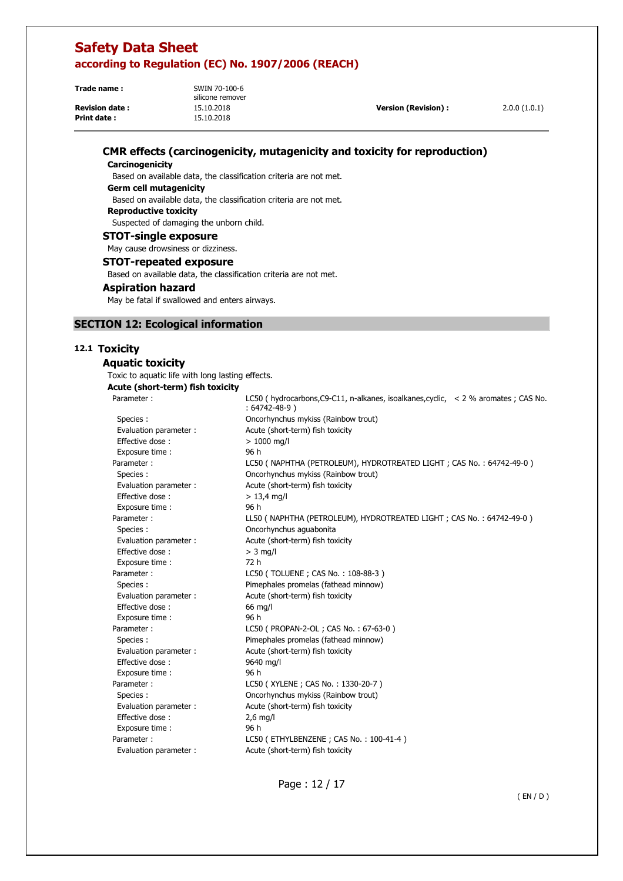| Trade name:           | SWIN 70-100-6<br>silicone remover |                            |              |
|-----------------------|-----------------------------------|----------------------------|--------------|
| <b>Revision date:</b> | 15.10.2018                        | <b>Version (Revision):</b> | 2.0.0(1.0.1) |
| <b>Print date:</b>    | 15.10.2018                        |                            |              |

## **CMR effects (carcinogenicity, mutagenicity and toxicity for reproduction)**

#### **Carcinogenicity**

 Based on available data, the classification criteria are not met. **Germ cell mutagenicity**  Based on available data, the classification criteria are not met. **Reproductive toxicity**  Suspected of damaging the unborn child. **STOT-single exposure** 

May cause drowsiness or dizziness.

#### **STOT-repeated exposure**

Based on available data, the classification criteria are not met.

#### **Aspiration hazard**

May be fatal if swallowed and enters airways.

### **SECTION 12: Ecological information**

## **12.1 Toxicity**

### **Aquatic toxicity**  Toxic to aquatic life with long lasting effects. **Acute (short-term) fish toxicity**  Parameter : LC50 ( hydrocarbons, C9-C11, n-alkanes, isoalkanes, cyclic, < 2 % aromates ; CAS No. : 64742-48-9 ) Species : Oncorhynchus mykiss (Rainbow trout) Evaluation parameter : Acute (short-term) fish toxicity Effective dose :  $> 1000$  mg/l Exposure time : 96 h Parameter : LC50 ( NAPHTHA (PETROLEUM), HYDROTREATED LIGHT ; CAS No. : 64742-49-0 ) Species : Oncorhynchus mykiss (Rainbow trout) Evaluation parameter : Acute (short-term) fish toxicity Effective dose :  $> 13.4$  mg/l Exposure time : 96 h Parameter : LL50 ( NAPHTHA (PETROLEUM), HYDROTREATED LIGHT ; CAS No. : 64742-49-0 ) Species : Oncorhynchus aguabonita Evaluation parameter : Acute (short-term) fish toxicity Effective dose :  $> 3$  mg/l Exposure time : 72 h Parameter : LC50 (TOLUENE ; CAS No. : 108-88-3 ) Species : Pimephales promelas (fathead minnow) Evaluation parameter : Acute (short-term) fish toxicity Effective dose : 66 mg/l Exposure time : 96 h Parameter : LC50 ( PROPAN-2-OL ; CAS No. : 67-63-0 ) Species : Pimephales promelas (fathead minnow) Evaluation parameter : Acute (short-term) fish toxicity Effective dose : 9640 mg/l Exposure time : 96 h Parameter : LC50 (XYLENE ; CAS No. : 1330-20-7 ) Species : Oncorhynchus mykiss (Rainbow trout) Evaluation parameter : Acute (short-term) fish toxicity Effective dose : 2,6 mg/l Exposure time : 96 h Parameter : LC50 (ETHYLBENZENE ; CAS No. : 100-41-4)

Evaluation parameter : Acute (short-term) fish toxicity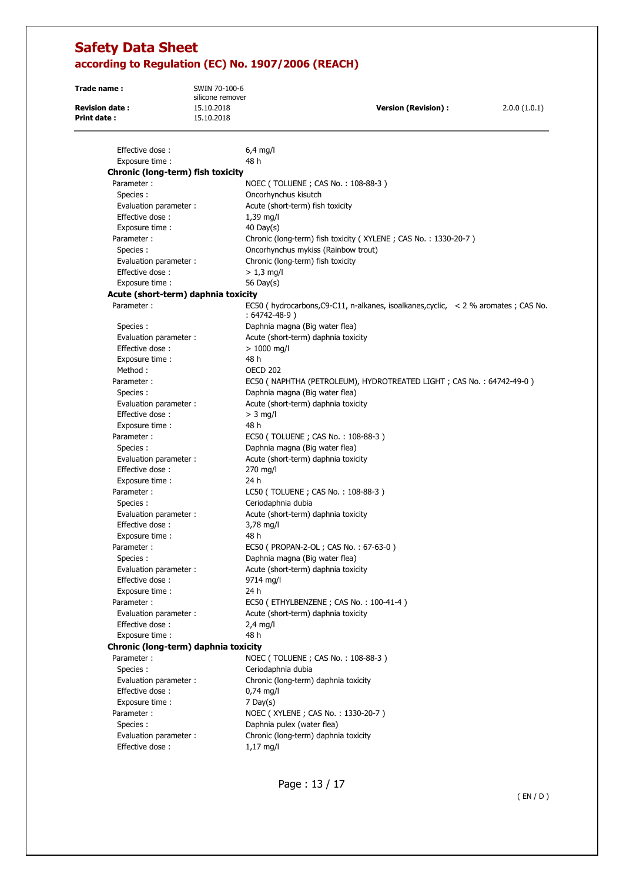**Trade name :** SWIN 70-100-6 silicone remover **Revision date :** 15.10.2018 **Version (Revision) :** 2.0.0 (1.0.1) **Print date :** 15.10.2018

| Effective dose:                      | $6,4$ mg/l                                                                              |
|--------------------------------------|-----------------------------------------------------------------------------------------|
| Exposure time :                      | 48 h                                                                                    |
| Chronic (long-term) fish toxicity    |                                                                                         |
| Parameter:                           | NOEC (TOLUENE; CAS No.: 108-88-3)                                                       |
| Species :                            | Oncorhynchus kisutch                                                                    |
| Evaluation parameter :               | Acute (short-term) fish toxicity                                                        |
| Effective dose:                      | $1,39$ mg/l                                                                             |
| Exposure time:                       | 40 Day(s)                                                                               |
| Parameter:                           | Chronic (long-term) fish toxicity (XYLENE; CAS No.: 1330-20-7)                          |
| Species :                            | Oncorhynchus mykiss (Rainbow trout)                                                     |
| Evaluation parameter:                | Chronic (long-term) fish toxicity                                                       |
| Effective dose:                      | $> 1,3$ mg/l                                                                            |
| Exposure time :                      | 56 Day(s)                                                                               |
| Acute (short-term) daphnia toxicity  |                                                                                         |
| Parameter:                           | EC50 (hydrocarbons, C9-C11, n-alkanes, isoalkanes, cyclic, $\leq$ 2 % aromates; CAS No. |
|                                      | : 64742-48-9)                                                                           |
| Species :                            | Daphnia magna (Big water flea)                                                          |
| Evaluation parameter:                | Acute (short-term) daphnia toxicity                                                     |
| Effective dose:                      | $> 1000$ mg/l                                                                           |
| Exposure time :                      | 48 h                                                                                    |
| Method:                              | <b>OECD 202</b>                                                                         |
| Parameter:                           | EC50 ( NAPHTHA (PETROLEUM), HYDROTREATED LIGHT ; CAS No. : 64742-49-0 )                 |
| Species:                             | Daphnia magna (Big water flea)                                                          |
| Evaluation parameter:                | Acute (short-term) daphnia toxicity                                                     |
| Effective dose:                      | $>$ 3 mg/l                                                                              |
| Exposure time:                       | 48 h                                                                                    |
| Parameter:                           | EC50 (TOLUENE; CAS No.: 108-88-3)                                                       |
| Species :                            | Daphnia magna (Big water flea)                                                          |
| Evaluation parameter:                | Acute (short-term) daphnia toxicity                                                     |
| Effective dose:                      | 270 mg/l                                                                                |
| Exposure time :                      | 24 h                                                                                    |
| Parameter:                           | LC50 (TOLUENE; CAS No.: 108-88-3)                                                       |
| Species:                             | Ceriodaphnia dubia                                                                      |
| Evaluation parameter :               | Acute (short-term) daphnia toxicity                                                     |
| Effective dose:                      | 3,78 mg/l                                                                               |
| Exposure time :                      | 48 h                                                                                    |
| Parameter:                           | EC50 ( PROPAN-2-OL ; CAS No.: 67-63-0 )                                                 |
| Species :                            | Daphnia magna (Big water flea)                                                          |
| Evaluation parameter :               | Acute (short-term) daphnia toxicity                                                     |
| Effective dose:                      | 9714 mg/l                                                                               |
| Exposure time:                       | 24 h                                                                                    |
| Parameter:                           | EC50 (ETHYLBENZENE; CAS No.: 100-41-4)                                                  |
| Evaluation parameter:                | Acute (short-term) daphnia toxicity                                                     |
| Effective dose:                      | $2,4$ mg/l                                                                              |
|                                      | 48 h                                                                                    |
| Exposure time:                       |                                                                                         |
| Chronic (long-term) daphnia toxicity |                                                                                         |
| Parameter:                           | NOEC (TOLUENE; CAS No.: 108-88-3)                                                       |
| Species:                             | Ceriodaphnia dubia                                                                      |
| Evaluation parameter :               | Chronic (long-term) daphnia toxicity                                                    |
| Effective dose:                      | $0,74$ mg/l                                                                             |
| Exposure time :                      | $7$ Day(s)                                                                              |
| Parameter:                           | NOEC (XYLENE; CAS No.: 1330-20-7)                                                       |
| Species :                            | Daphnia pulex (water flea)                                                              |
| Evaluation parameter :               | Chronic (long-term) daphnia toxicity                                                    |
| Effective dose:                      | $1,17$ mg/l                                                                             |
|                                      |                                                                                         |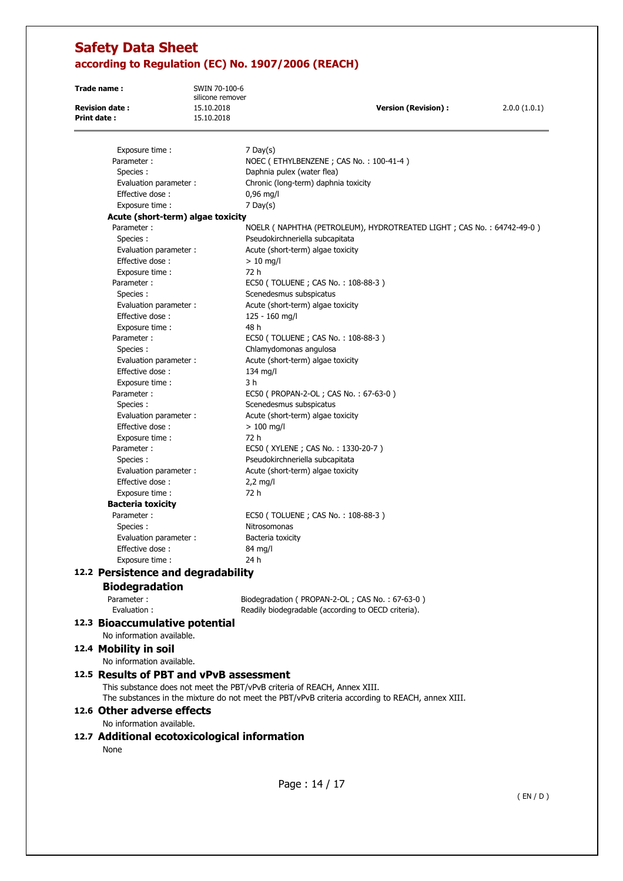| Trade name:                                                 | SWIN 70-100-6<br>silicone remover |                                                                                                                                                                             |              |
|-------------------------------------------------------------|-----------------------------------|-----------------------------------------------------------------------------------------------------------------------------------------------------------------------------|--------------|
| <b>Revision date:</b><br><b>Print date:</b>                 | 15.10.2018                        | <b>Version (Revision):</b>                                                                                                                                                  | 2.0.0(1.0.1) |
|                                                             | 15.10.2018                        |                                                                                                                                                                             |              |
|                                                             |                                   |                                                                                                                                                                             |              |
| Exposure time :                                             |                                   | $7$ Day(s)                                                                                                                                                                  |              |
| Parameter:                                                  |                                   | NOEC (ETHYLBENZENE; CAS No.: 100-41-4)                                                                                                                                      |              |
| Species :                                                   |                                   | Daphnia pulex (water flea)                                                                                                                                                  |              |
| Evaluation parameter :                                      |                                   | Chronic (long-term) daphnia toxicity                                                                                                                                        |              |
| Effective dose:                                             |                                   | $0,96$ mg/l                                                                                                                                                                 |              |
| Exposure time :                                             |                                   | $7$ Day(s)                                                                                                                                                                  |              |
| Acute (short-term) algae toxicity                           |                                   |                                                                                                                                                                             |              |
| Parameter:                                                  |                                   | NOELR ( NAPHTHA (PETROLEUM), HYDROTREATED LIGHT ; CAS No. : 64742-49-0 )                                                                                                    |              |
| Species :                                                   |                                   | Pseudokirchneriella subcapitata                                                                                                                                             |              |
| Evaluation parameter :                                      |                                   | Acute (short-term) algae toxicity                                                                                                                                           |              |
| Effective dose:                                             |                                   | $> 10$ mg/l<br>72 h                                                                                                                                                         |              |
| Exposure time :<br>Parameter:                               |                                   | EC50 (TOLUENE; CAS No.: 108-88-3)                                                                                                                                           |              |
| Species :                                                   |                                   | Scenedesmus subspicatus                                                                                                                                                     |              |
|                                                             |                                   |                                                                                                                                                                             |              |
| Evaluation parameter :<br>Effective dose:                   |                                   | Acute (short-term) algae toxicity                                                                                                                                           |              |
| Exposure time:                                              |                                   | 125 - 160 mg/l<br>48 h                                                                                                                                                      |              |
| Parameter:                                                  |                                   | EC50 (TOLUENE; CAS No.: 108-88-3)                                                                                                                                           |              |
| Species:                                                    |                                   | Chlamydomonas angulosa                                                                                                                                                      |              |
| Evaluation parameter :                                      |                                   | Acute (short-term) algae toxicity                                                                                                                                           |              |
| Effective dose:                                             |                                   | $134$ mg/l                                                                                                                                                                  |              |
| Exposure time :                                             |                                   | 3 h                                                                                                                                                                         |              |
| Parameter:                                                  |                                   | EC50 ( PROPAN-2-OL ; CAS No.: 67-63-0 )                                                                                                                                     |              |
| Species:                                                    |                                   | Scenedesmus subspicatus                                                                                                                                                     |              |
| Evaluation parameter :                                      |                                   | Acute (short-term) algae toxicity                                                                                                                                           |              |
| Effective dose:                                             |                                   | $> 100$ mg/l                                                                                                                                                                |              |
| Exposure time :                                             |                                   | 72 h                                                                                                                                                                        |              |
| Parameter:                                                  |                                   | EC50 (XYLENE; CAS No.: 1330-20-7)                                                                                                                                           |              |
| Species:                                                    |                                   | Pseudokirchneriella subcapitata                                                                                                                                             |              |
| Evaluation parameter :                                      |                                   | Acute (short-term) algae toxicity                                                                                                                                           |              |
| Effective dose:                                             |                                   | $2,2$ mg/l                                                                                                                                                                  |              |
| Exposure time:                                              |                                   | 72 h                                                                                                                                                                        |              |
| <b>Bacteria toxicity</b>                                    |                                   |                                                                                                                                                                             |              |
| Parameter:                                                  |                                   | EC50 (TOLUENE; CAS No.: 108-88-3)                                                                                                                                           |              |
| Species:                                                    |                                   | Nitrosomonas                                                                                                                                                                |              |
| Evaluation parameter :                                      |                                   | Bacteria toxicity                                                                                                                                                           |              |
| Effective dose:                                             |                                   | 84 mg/l                                                                                                                                                                     |              |
| Exposure time :                                             |                                   | 24 h                                                                                                                                                                        |              |
|                                                             |                                   |                                                                                                                                                                             |              |
| 12.2 Persistence and degradability                          |                                   |                                                                                                                                                                             |              |
| <b>Biodegradation</b>                                       |                                   |                                                                                                                                                                             |              |
| Parameter:                                                  |                                   | Biodegradation ( PROPAN-2-OL; CAS No.: 67-63-0)                                                                                                                             |              |
| Evaluation:                                                 |                                   | Readily biodegradable (according to OECD criteria).                                                                                                                         |              |
| 12.3 Bioaccumulative potential<br>No information available. |                                   |                                                                                                                                                                             |              |
|                                                             |                                   |                                                                                                                                                                             |              |
| 12.4 Mobility in soil                                       |                                   |                                                                                                                                                                             |              |
| No information available.                                   |                                   |                                                                                                                                                                             |              |
| 12.5 Results of PBT and vPvB assessment                     |                                   |                                                                                                                                                                             |              |
|                                                             |                                   | This substance does not meet the PBT/vPvB criteria of REACH, Annex XIII.<br>The substances in the mixture do not meet the PBT/vPvB criteria according to REACH, annex XIII. |              |
| 12.6 Other adverse effects<br>No information available.     |                                   |                                                                                                                                                                             |              |
|                                                             |                                   |                                                                                                                                                                             |              |
| 12.7 Additional ecotoxicological information                |                                   |                                                                                                                                                                             |              |
| None                                                        |                                   |                                                                                                                                                                             |              |
|                                                             |                                   |                                                                                                                                                                             |              |
|                                                             |                                   |                                                                                                                                                                             |              |
|                                                             |                                   | Page: 14 / 17                                                                                                                                                               |              |

( EN / D )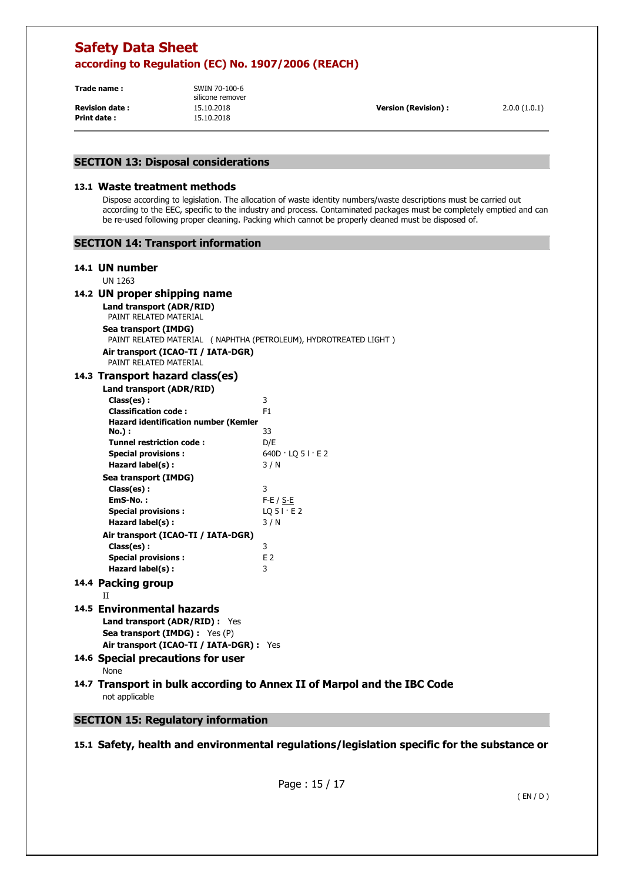**Trade name :** SWIN 70-100-6

**Print date :** 15.10.2018

silicone remover

**Revision date :** 15.10.2018 **Version (Revision) :** 2.0.0 (1.0.1)

## **SECTION 13: Disposal considerations**

#### **13.1 Waste treatment methods**

Dispose according to legislation. The allocation of waste identity numbers/waste descriptions must be carried out according to the EEC, specific to the industry and process. Contaminated packages must be completely emptied and can be re-used following proper cleaning. Packing which cannot be properly cleaned must be disposed of.

# **14.1 UN number**

UN 1263

# **14.2 UN proper shipping name**

**Land transport (ADR/RID)**  PAINT RELATED MATERIAL

# **Sea transport (IMDG)**

PAINT RELATED MATERIAL ( NAPHTHA (PETROLEUM), HYDROTREATED LIGHT )

| Air transport (ICAO-TI / IATA-DGR) |  |
|------------------------------------|--|
| PAINT RELATED MATERIAL             |  |

## **14.3 Transport hazard class(es)**

| Land transport (ADR/RID)                    |                             |
|---------------------------------------------|-----------------------------|
| Class(es):                                  | 3                           |
| <b>Classification code:</b>                 | F <sub>1</sub>              |
| <b>Hazard identification number (Kemler</b> |                             |
| No.) :                                      | 33                          |
| <b>Tunnel restriction code:</b>             | D/E                         |
| <b>Special provisions:</b>                  | $640D \cdot LQ 5I \cdot E2$ |
| Hazard label(s):                            | 3/N                         |
| Sea transport (IMDG)                        |                             |
| Class(es):                                  | 3                           |
| EmS-No.:                                    | $F-E / S-E$                 |
| <b>Special provisions:</b>                  | $LQ$ 5 $\vdots$ E 2         |
| Hazard label(s):                            | 3/N                         |
| Air transport (ICAO-TI / IATA-DGR)          |                             |
| Class(es):                                  | 3                           |
| <b>Special provisions:</b>                  | E <sub>2</sub>              |
| Hazard label(s):                            | 3                           |
| 14.4 Packing group                          |                             |
| $_{II}$                                     |                             |
| 14.5 Environmental hazards                  |                             |
| <b>Land transport (ADR/RID):</b> Yes        |                             |
|                                             |                             |

# **Sea transport (IMDG) :** Yes (P)

**Air transport (ICAO-TI / IATA-DGR) :** Yes

- **14.6 Special precautions for user**  None
- **14.7 Transport in bulk according to Annex II of Marpol and the IBC Code**  not applicable

# **SECTION 15: Regulatory information**

**15.1 Safety, health and environmental regulations/legislation specific for the substance or**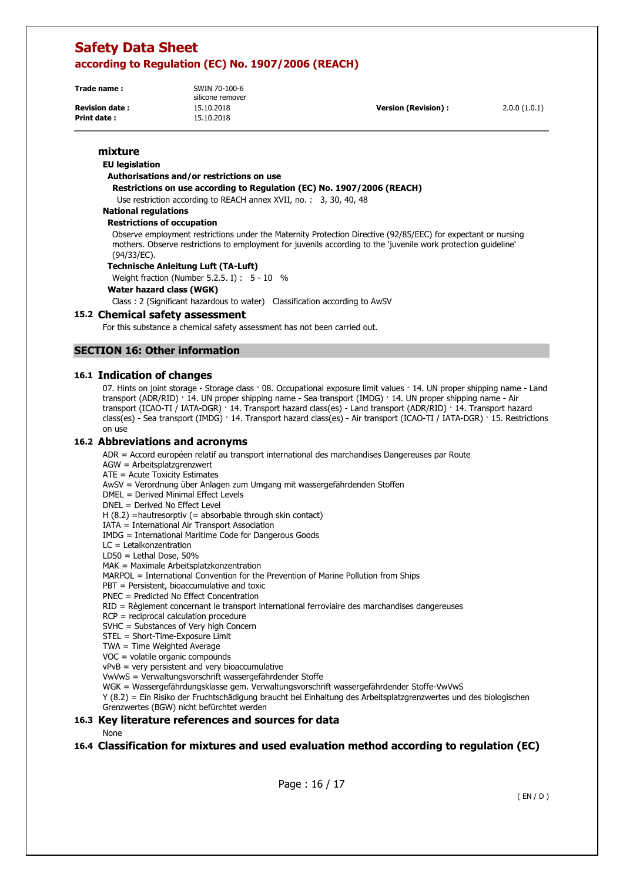**Trade name :** SWIN 70-100-6

**Print date :** 15.10.2018

silicone remover

**Revision date :** 15.10.2018 **Version (Revision) :** 2.0.0 (1.0.1)

# **mixture**

# **EU legislation**

## **Authorisations and/or restrictions on use**

**Restrictions on use according to Regulation (EC) No. 1907/2006 (REACH)** 

Use restriction according to REACH annex XVII, no. : 3, 30, 40, 48

### **National regulations**

#### **Restrictions of occupation**

Observe employment restrictions under the Maternity Protection Directive (92/85/EEC) for expectant or nursing mothers. Observe restrictions to employment for juvenils according to the 'juvenile work protection guideline' (94/33/EC).

#### **Technische Anleitung Luft (TA-Luft)**

Weight fraction (Number 5.2.5. I) : 5 - 10 %

**Water hazard class (WGK)** 

Class : 2 (Significant hazardous to water) Classification according to AwSV

#### **15.2 Chemical safety assessment**

For this substance a chemical safety assessment has not been carried out.

## **SECTION 16: Other information**

#### **16.1 Indication of changes**

07. Hints on joint storage - Storage class · 08. Occupational exposure limit values · 14. UN proper shipping name - Land transport (ADR/RID) · 14. UN proper shipping name - Sea transport (IMDG) · 14. UN proper shipping name - Air transport (ICAO-TI / IATA-DGR) · 14. Transport hazard class(es) - Land transport (ADR/RID) · 14. Transport hazard class(es) - Sea transport (IMDG) · 14. Transport hazard class(es) - Air transport (ICAO-TI / IATA-DGR) · 15. Restrictions on use

#### **16.2 Abbreviations and acronyms**

ADR = Accord européen relatif au transport international des marchandises Dangereuses par Route

AGW = Arbeitsplatzgrenzwert

ATE = Acute Toxicity Estimates

AwSV = Verordnung über Anlagen zum Umgang mit wassergefährdenden Stoffen

DMEL = Derived Minimal Effect Levels

DNEL = Derived No Effect Level

 $H (8.2)$  =hautresorptiv (= absorbable through skin contact)

IATA = International Air Transport Association

IMDG = International Maritime Code for Dangerous Goods

LC = Letalkonzentration

LD50 = Lethal Dose, 50%

MAK = Maximale Arbeitsplatzkonzentration

MARPOL = International Convention for the Prevention of Marine Pollution from Ships

PBT = Persistent, bioaccumulative and toxic

PNEC = Predicted No Effect Concentration

RID = Règlement concernant le transport international ferroviaire des marchandises dangereuses

RCP = reciprocal calculation procedure

SVHC = Substances of Very high Concern

STEL = Short-Time-Exposure Limit

TWA = Time Weighted Average

VOC = volatile organic compounds

vPvB = very persistent and very bioaccumulative

VwVwS = Verwaltungsvorschrift wassergefährdender Stoffe

WGK = Wassergefährdungsklasse gem. Verwaltungsvorschrift wassergefährdender Stoffe-VwVwS

Y (8.2) = Ein Risiko der Fruchtschädigung braucht bei Einhaltung des Arbeitsplatzgrenzwertes und des biologischen Grenzwertes (BGW) nicht befürchtet werden

#### **16.3 Key literature references and sources for data**

None

### **16.4 Classification for mixtures and used evaluation method according to regulation (EC)**

Page : 16 / 17